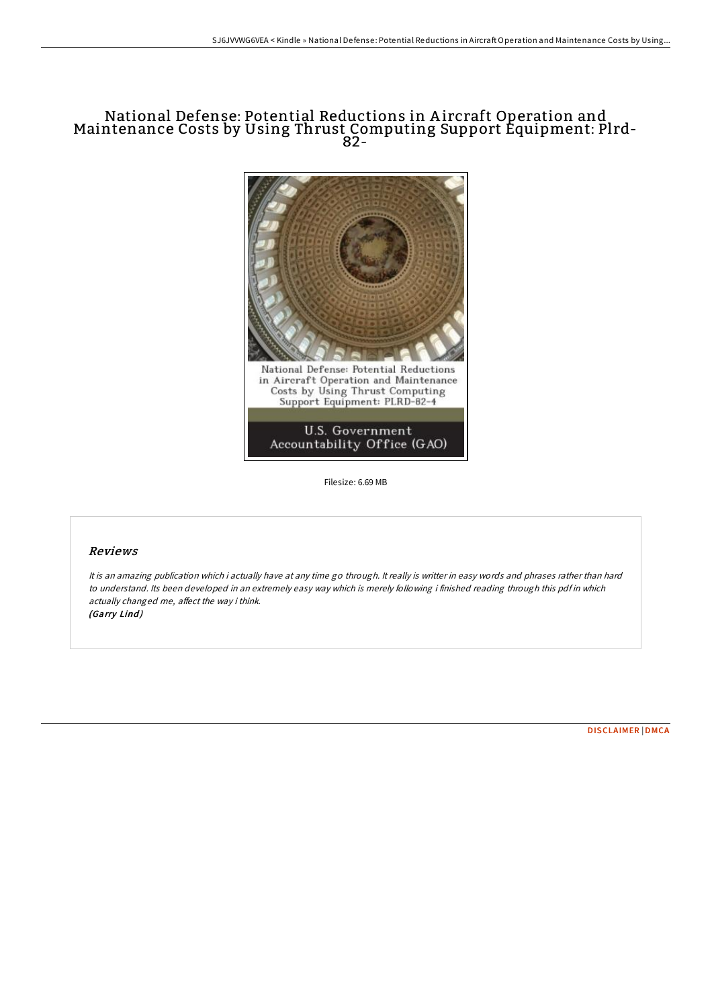# National Defense: Potential Reductions in A ircraft Operation and Maintenance Costs by Using Thrust Computing Support Equipment: Plrd-82-



Filesize: 6.69 MB

### Reviews

It is an amazing publication which i actually have at any time go through. It really is writter in easy words and phrases rather than hard to understand. Its been developed in an extremely easy way which is merely following i finished reading through this pdf in which actually changed me, affect the way i think. (Garry Lind)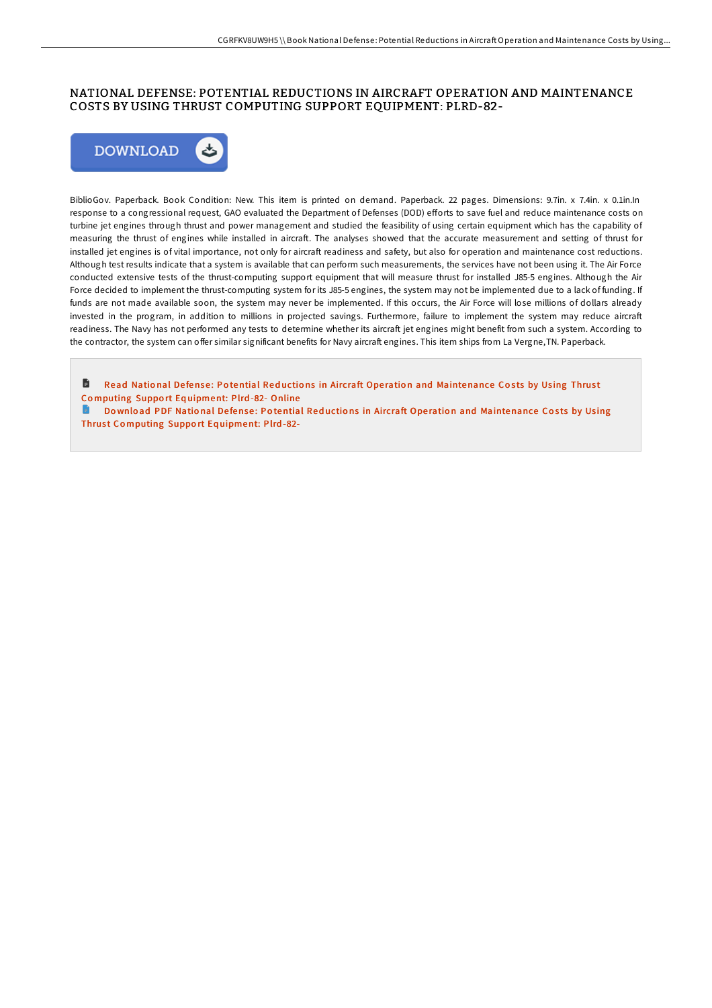## NATIONAL DEFENSE: POTENTIAL REDUCTIONS IN AIRCRAFT OPERATION AND MAINTENANCE COSTS BY USING THRUST COMPUTING SUPPORT EQUIPMENT: PLRD-82-



BiblioGov. Paperback. Book Condition: New. This item is printed on demand. Paperback. 22 pages. Dimensions: 9.7in. x 7.4in. x 0.1in.In response to a congressional request, GAO evaluated the Department of Defenses (DOD) efforts to save fuel and reduce maintenance costs on turbine jet engines through thrust and power management and studied the feasibility of using certain equipment which has the capability of measuring the thrust of engines while installed in aircraft. The analyses showed that the accurate measurement and setting of thrust for installed jet engines is of vital importance, not only for aircraft readiness and safety, but also for operation and maintenance cost reductions. Although test results indicate that a system is available that can perform such measurements, the services have not been using it. The Air Force conducted extensive tests of the thrust-computing support equipment that will measure thrust for installed J85-5 engines. Although the Air Force decided to implement the thrust-computing system for its J85-5 engines, the system may not be implemented due to a lack of funding. If funds are not made available soon, the system may never be implemented. If this occurs, the Air Force will lose millions of dollars already invested in the program, in addition to millions in projected savings. Furthermore, failure to implement the system may reduce aircraft readiness. The Navy has not performed any tests to determine whether its aircraft jet engines might benefit from such a system. According to the contractor, the system can offer similar significant benefits for Navy aircraft engines. This item ships from La Vergne,TN. Paperback.

旨 Read National Defense: Potential Reductions in Aircraft Operation and [Maintenance](http://almighty24.tech/national-defense-potential-reductions-in-aircraf.html) Costs by Using Thrust Co mputing Suppo rt Eq uipment: Plrd -82- Online

Download PDF National Defense: Potential Reductions in Aircraft Operation and [Maintenance](http://almighty24.tech/national-defense-potential-reductions-in-aircraf.html) Costs by Using Thrust Computing Support Equipment: Plrd-82-